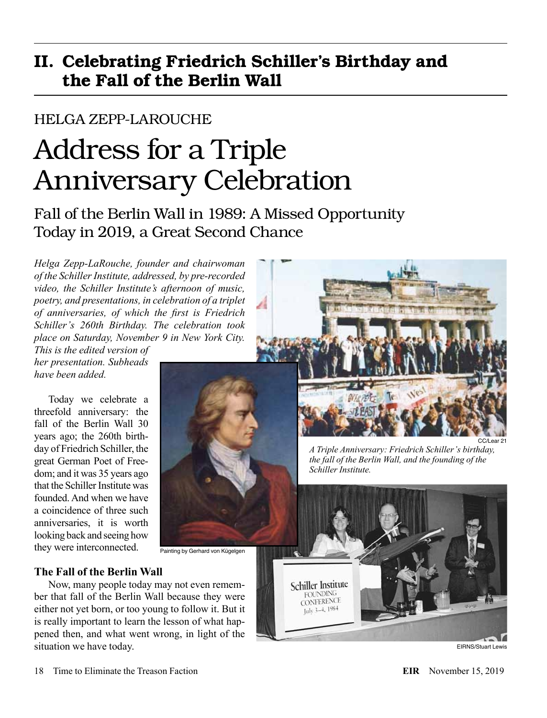# II. Celebrating Friedrich Schiller's Birthday and the Fall of the Berlin Wall

# HELGA ZEPP-LAROUCHE

# Address for a Triple Anniversary Celebration

Fall of the Berlin Wall in 1989: A Missed Opportunity Today in 2019, a Great Second Chance

*Helga Zepp-LaRouche, founder and chairwoman of the Schiller Institute, addressed, by pre-recorded video, the Schiller Institute's afternoon of music, poetry, and presentations, in celebration of a triplet of anniversaries, of which the first is Friedrich Schiller's 260th Birthday. The celebration took place on Saturday, November 9 in New York City.* 

*This is the edited version of her presentation. Subheads have been added.*

Today we celebrate a threefold anniversary: the fall of the Berlin Wall 30 years ago; the 260th birthday of Friedrich Schiller, the great German Poet of Freedom; and it was 35 years ago that the Schiller Institute was founded. And when we have a coincidence of three such anniversaries, it is worth looking back and seeing how they were interconnected.



*A Triple Anniversary: Friedrich Schiller's birthday, the fall of the Berlin Wall, and the founding of the Schiller Institute.*



EIRNS/Stuart Lewis

Painting by Gerhard von Kügelgen

# **The Fall of the Berlin Wall**

Now, many people today may not even remember that fall of the Berlin Wall because they were either not yet born, or too young to follow it. But it is really important to learn the lesson of what happened then, and what went wrong, in light of the situation we have today.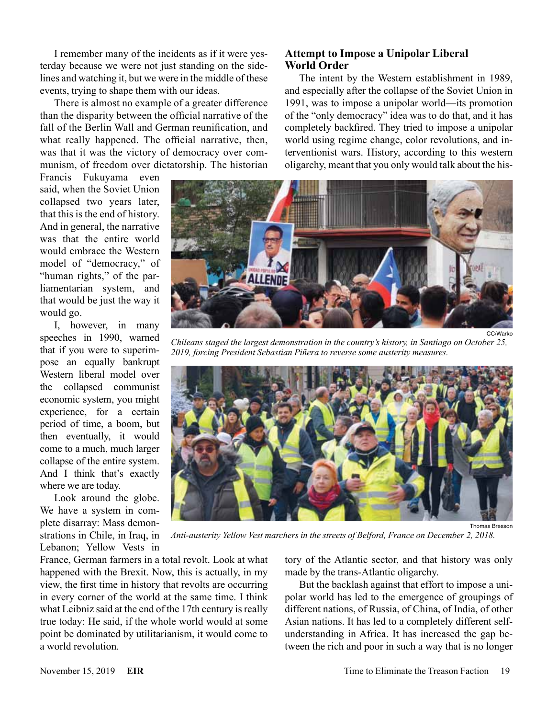I remember many of the incidents as if it were yesterday because we were not just standing on the sidelines and watching it, but we were in the middle of these events, trying to shape them with our ideas.

There is almost no example of a greater difference than the disparity between the official narrative of the fall of the Berlin Wall and German reunification, and what really happened. The official narrative, then, was that it was the victory of democracy over communism, of freedom over dictatorship. The historian

Francis Fukuyama even said, when the Soviet Union collapsed two years later, that this is the end of history. And in general, the narrative was that the entire world would embrace the Western model of "democracy," of "human rights," of the parliamentarian system, and that would be just the way it would go.

I, however, in many speeches in 1990, warned that if you were to superimpose an equally bankrupt Western liberal model over the collapsed communist economic system, you might experience, for a certain period of time, a boom, but then eventually, it would come to a much, much larger collapse of the entire system. And I think that's exactly where we are today.

Look around the globe. We have a system in complete disarray: Mass demonstrations in Chile, in Iraq, in Lebanon; Yellow Vests in

## **Attempt to Impose a Unipolar Liberal World Order**

The intent by the Western establishment in 1989, and especially after the collapse of the Soviet Union in 1991, was to impose a unipolar world—its promotion of the "only democracy" idea was to do that, and it has completely backfired. They tried to impose a unipolar world using regime change, color revolutions, and interventionist wars. History, according to this western oligarchy, meant that you only would talk about the his-



CC/Warko

*Chileans staged the largest demonstration in the country's history, in Santiago on October 25, 2019, forcing President Sebastian Piñera to reverse some austerity measures.*



Thomas Bresson

*Anti-austerity Yellow Vest marchers in the streets of Belford, France on December 2, 2018.*

France, German farmers in a total revolt. Look at what happened with the Brexit. Now, this is actually, in my view, the first time in history that revolts are occurring in every corner of the world at the same time. I think what Leibniz said at the end of the 17th century is really true today: He said, if the whole world would at some point be dominated by utilitarianism, it would come to a world revolution.

tory of the Atlantic sector, and that history was only made by the trans-Atlantic oligarchy.

But the backlash against that effort to impose a unipolar world has led to the emergence of groupings of different nations, of Russia, of China, of India, of other Asian nations. It has led to a completely different selfunderstanding in Africa. It has increased the gap between the rich and poor in such a way that is no longer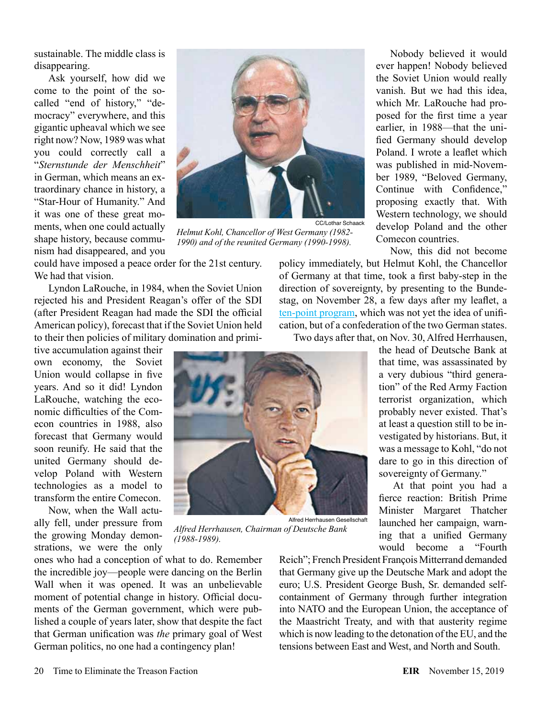sustainable. The middle class is disappearing.

Ask yourself, how did we come to the point of the socalled "end of history," "democracy" everywhere, and this gigantic upheaval which we see right now? Now, 1989 was what you could correctly call a "*Sternstunde der Menschheit*" in German, which means an extraordinary chance in history, a "Star-Hour of Humanity." And it was one of these great moments, when one could actually shape history, because communism had disappeared, and you



*Helmut Kohl, Chancellor of West Germany (1982- 1990) and of the reunited Germany (1990-1998).*

*Alfred Herrhausen, Chairman of Deutsche Bank* 

could have imposed a peace order for the 21st century. We had that vision.

Lyndon LaRouche, in 1984, when the Soviet Union rejected his and President Reagan's offer of the SDI (after President Reagan had made the SDI the official American policy), forecast that if the Soviet Union held to their then policies of military domination and primi-

tive accumulation against their own economy, the Soviet Union would collapse in five years. And so it did! Lyndon LaRouche, watching the economic difficulties of the Comecon countries in 1988, also forecast that Germany would soon reunify. He said that the united Germany should develop Poland with Western technologies as a model to transform the entire Comecon.

Now, when the Wall actually fell, under pressure from the growing Monday demonstrations, we were the only

ones who had a conception of what to do. Remember the incredible joy—people were dancing on the Berlin Wall when it was opened. It was an unbelievable moment of potential change in history. Official documents of the German government, which were published a couple of years later, show that despite the fact that German unification was *the* primary goal of West German politics, no one had a contingency plan!

*(1988-1989).*

Nobody believed it would ever happen! Nobody believed the Soviet Union would really vanish. But we had this idea, which Mr. LaRouche had proposed for the first time a year earlier, in 1988—that the unified Germany should develop Poland. I wrote a leaflet which was published in mid-November 1989, "Beloved Germany, Continue with Confidence," proposing exactly that. With Western technology, we should develop Poland and the other Comecon countries.

Now, this did not become

policy immediately, but Helmut Kohl, the Chancellor of Germany at that time, took a first baby-step in the direction of sovereignty, by presenting to the Bundestag, on November 28, a few days after my leaflet, a [ten-point program](http://germanhistorydocs.ghi-dc.org/pdf/eng/Chapter1_Doc10English.pdf), which was not yet the idea of unification, but of a confederation of the two German states.

Two days after that, on Nov. 30, Alfred Herrhausen,

the head of Deutsche Bank at that time, was assassinated by a very dubious "third generation" of the Red Army Faction terrorist organization, which probably never existed. That's at least a question still to be investigated by historians. But, it was a message to Kohl, "do not dare to go in this direction of sovereignty of Germany."

At that point you had a fierce reaction: British Prime Minister Margaret Thatcher launched her campaign, warning that a unified Germany would become a "Fourth

Reich"; French President François Mitterrand demanded that Germany give up the Deutsche Mark and adopt the euro; U.S. President George Bush, Sr. demanded selfcontainment of Germany through further integration into NATO and the European Union, the acceptance of the Maastricht Treaty, and with that austerity regime which is now leading to the detonation of the EU, and the tensions between East and West, and North and South.

Alfred Herrhausen Gesellschaft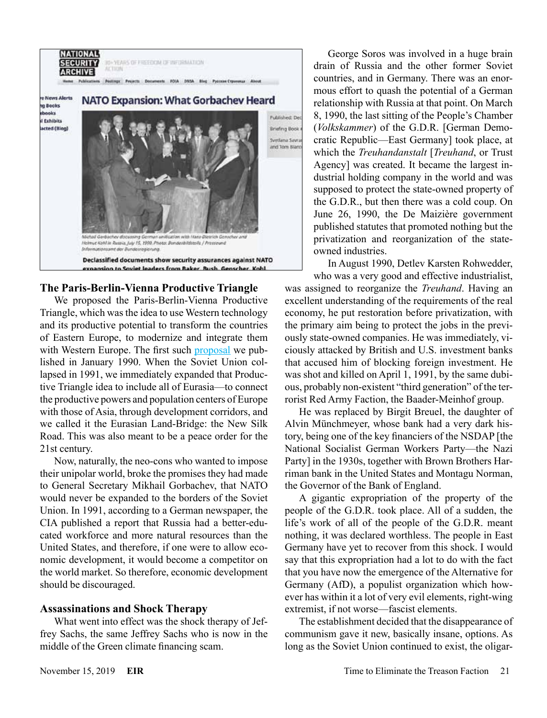

# **The Paris-Berlin-Vienna Productive Triangle**

We proposed the Paris-Berlin-Vienna Productive Triangle, which was the idea to use Western technology and its productive potential to transform the countries of Eastern Europe, to modernize and integrate them with Western Europe. The first such [proposal](https://larouchepub.com/eiw/public/1990/eirv17n06-19900202/eirv17n06-19900202_026-paris_berlin_vienna_triangle_loc.pdf) we published in January 1990. When the Soviet Union collapsed in 1991, we immediately expanded that Productive Triangle idea to include all of Eurasia—to connect the productive powers and population centers of Europe with those of Asia, through development corridors, and we called it the Eurasian Land-Bridge: the New Silk Road. This was also meant to be a peace order for the 21st century.

Now, naturally, the neo-cons who wanted to impose their unipolar world, broke the promises they had made to General Secretary Mikhail Gorbachev, that NATO would never be expanded to the borders of the Soviet Union. In 1991, according to a German newspaper, the CIA published a report that Russia had a better-educated workforce and more natural resources than the United States, and therefore, if one were to allow economic development, it would become a competitor on the world market. So therefore, economic development should be discouraged.

## **Assassinations and Shock Therapy**

What went into effect was the shock therapy of Jeffrey Sachs, the same Jeffrey Sachs who is now in the middle of the Green climate financing scam.

George Soros was involved in a huge brain drain of Russia and the other former Soviet countries, and in Germany. There was an enormous effort to quash the potential of a German relationship with Russia at that point. On March 8, 1990, the last sitting of the People's Chamber (*Volkskammer*) of the G.D.R. [German Democratic Republic—East Germany] took place, at which the *Treuhandanstalt* [*Treuhand*, or Trust Agency] was created. It became the largest industrial holding company in the world and was supposed to protect the state-owned property of the G.D.R., but then there was a cold coup. On June 26, 1990, the De Maizière government published statutes that promoted nothing but the privatization and reorganization of the stateowned industries.

In August 1990, Detlev Karsten Rohwedder,

who was a very good and effective industrialist, was assigned to reorganize the *Treuhand*. Having an excellent understanding of the requirements of the real economy, he put restoration before privatization, with the primary aim being to protect the jobs in the previously state-owned companies. He was immediately, viciously attacked by British and U.S. investment banks that accused him of blocking foreign investment. He was shot and killed on April 1, 1991, by the same dubious, probably non-existent "third generation" of the terrorist Red Army Faction, the Baader-Meinhof group.

He was replaced by Birgit Breuel, the daughter of Alvin Münchmeyer, whose bank had a very dark history, being one of the key financiers of the NSDAP [the National Socialist German Workers Party—the Nazi Party] in the 1930s, together with Brown Brothers Harriman bank in the United States and Montagu Norman, the Governor of the Bank of England.

A gigantic expropriation of the property of the people of the G.D.R. took place. All of a sudden, the life's work of all of the people of the G.D.R. meant nothing, it was declared worthless. The people in East Germany have yet to recover from this shock. I would say that this expropriation had a lot to do with the fact that you have now the emergence of the Alternative for Germany (AfD), a populist organization which however has within it a lot of very evil elements, right-wing extremist, if not worse—fascist elements.

The establishment decided that the disappearance of communism gave it new, basically insane, options. As long as the Soviet Union continued to exist, the oligar-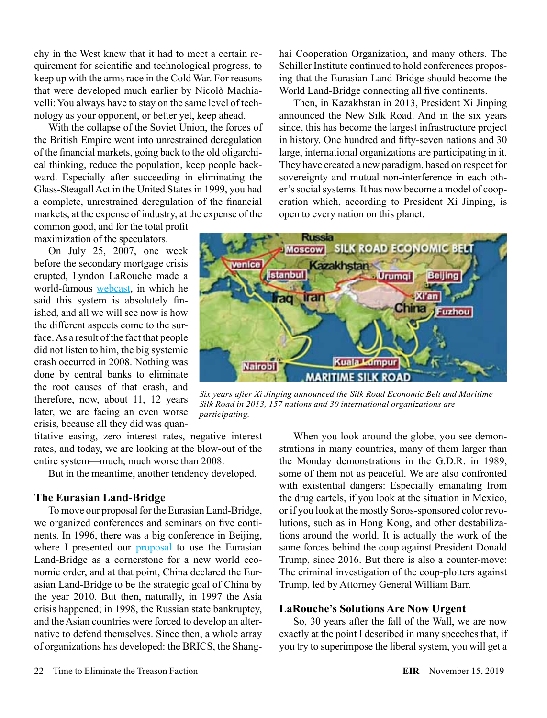chy in the West knew that it had to meet a certain requirement for scientific and technological progress, to keep up with the arms race in the Cold War. For reasons that were developed much earlier by Nicolò Machiavelli: You always have to stay on the same level of technology as your opponent, or better yet, keep ahead.

With the collapse of the Soviet Union, the forces of the British Empire went into unrestrained deregulation of the financial markets, going back to the old oligarchical thinking, reduce the population, keep people backward. Especially after succeeding in eliminating the Glass-Steagall Act in the United States in 1999, you had a complete, unrestrained deregulation of the financial markets, at the expense of industry, at the expense of the

common good, and for the total profit maximization of the speculators.

On July 25, 2007, one week before the secondary mortgage crisis erupted, Lyndon LaRouche made a world-famous [webcast](https://larouchepub.com/lar/2007/webcasts/3430july25_opener.html), in which he said this system is absolutely finished, and all we will see now is how the different aspects come to the surface. As a result of the fact that people did not listen to him, the big systemic crash occurred in 2008. Nothing was done by central banks to eliminate the root causes of that crash, and therefore, now, about 11, 12 years later, we are facing an even worse crisis, because all they did was quan-

titative easing, zero interest rates, negative interest rates, and today, we are looking at the blow-out of the entire system—much, much worse than 2008.

But in the meantime, another tendency developed.

#### **The Eurasian Land-Bridge**

To move our proposal for the Eurasian Land-Bridge, we organized conferences and seminars on five continents. In 1996, there was a big conference in Beijing, where I presented our [proposal](https://store.larouchepub.com/product-p/eirsp-1997-2-0-0-std.htm) to use the Eurasian Land-Bridge as a cornerstone for a new world economic order, and at that point, China declared the Eurasian Land-Bridge to be the strategic goal of China by the year 2010. But then, naturally, in 1997 the Asia crisis happened; in 1998, the Russian state bankruptcy, and the Asian countries were forced to develop an alternative to defend themselves. Since then, a whole array of organizations has developed: the BRICS, the Shanghai Cooperation Organization, and many others. The Schiller Institute continued to hold conferences proposing that the Eurasian Land-Bridge should become the World Land-Bridge connecting all five continents.

Then, in Kazakhstan in 2013, President Xi Jinping announced the New Silk Road. And in the six years since, this has become the largest infrastructure project in history. One hundred and fifty-seven nations and 30 large, international organizations are participating in it. They have created a new paradigm, based on respect for sovereignty and mutual non-interference in each other's social systems. It has now become a model of cooperation which, according to President Xi Jinping, is open to every nation on this planet.



*Six years after Xi Jinping announced the Silk Road Economic Belt and Maritime Silk Road in 2013, 157 nations and 30 international organizations are participating.*

When you look around the globe, you see demonstrations in many countries, many of them larger than the Monday demonstrations in the G.D.R. in 1989, some of them not as peaceful. We are also confronted with existential dangers: Especially emanating from the drug cartels, if you look at the situation in Mexico, or if you look at the mostly Soros-sponsored color revolutions, such as in Hong Kong, and other destabilizations around the world. It is actually the work of the same forces behind the coup against President Donald Trump, since 2016. But there is also a counter-move: The criminal investigation of the coup-plotters against Trump, led by Attorney General William Barr.

#### **LaRouche's Solutions Are Now Urgent**

So, 30 years after the fall of the Wall, we are now exactly at the point I described in many speeches that, if you try to superimpose the liberal system, you will get a